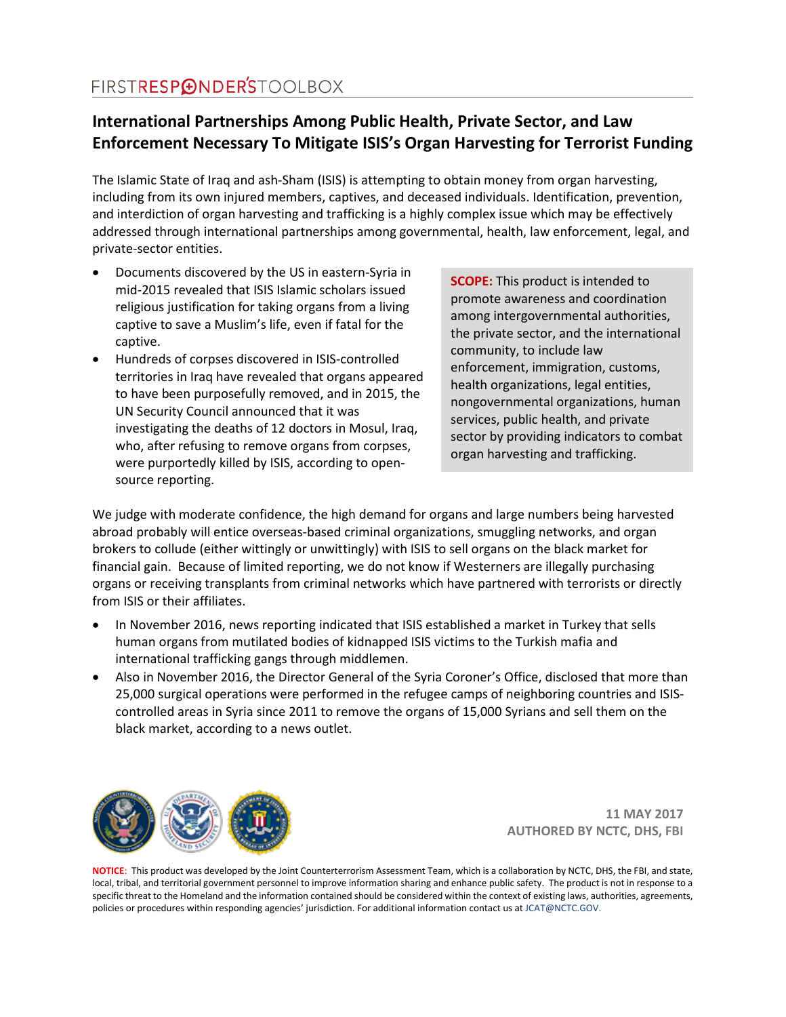### **International Partnerships Among Public Health, Private Sector, and Law Enforcement Necessary To Mitigate ISIS's Organ Harvesting for Terrorist Funding**

The Islamic State of Iraq and ash-Sham (ISIS) is attempting to obtain money from organ harvesting, including from its own injured members, captives, and deceased individuals. Identification, prevention, and interdiction of organ harvesting and trafficking is a highly complex issue which may be effectively addressed through international partnerships among governmental, health, law enforcement, legal, and private-sector entities.

- Documents discovered by the US in eastern-Syria in mid-2015 revealed that ISIS Islamic scholars issued religious justification for taking organs from a living captive to save a Muslim's life, even if fatal for the captive.
- Hundreds of corpses discovered in ISIS-controlled territories in Iraq have revealed that organs appeared to have been purposefully removed, and in 2015, the UN Security Council announced that it was investigating the deaths of 12 doctors in Mosul, Iraq, who, after refusing to remove organs from corpses, were purportedly killed by ISIS, according to opensource reporting.

**SCOPE:** This product is intended to promote awareness and coordination among intergovernmental authorities, the private sector, and the international community, to include law enforcement, immigration, customs, health organizations, legal entities, nongovernmental organizations, human services, public health, and private sector by providing indicators to combat organ harvesting and trafficking.

We judge with moderate confidence, the high demand for organs and large numbers being harvested abroad probably will entice overseas-based criminal organizations, smuggling networks, and organ brokers to collude (either wittingly or unwittingly) with ISIS to sell organs on the black market for financial gain. Because of limited reporting, we do not know if Westerners are illegally purchasing organs or receiving transplants from criminal networks which have partnered with terrorists or directly from ISIS or their affiliates.

- In November 2016, news reporting indicated that ISIS established a market in Turkey that sells human organs from mutilated bodies of kidnapped ISIS victims to the Turkish mafia and international trafficking gangs through middlemen.
- Also in November 2016, the Director General of the Syria Coroner's Office, disclosed that more than 25,000 surgical operations were performed in the refugee camps of neighboring countries and ISIScontrolled areas in Syria since 2011 to remove the organs of 15,000 Syrians and sell them on the black market, according to a news outlet.



**11 MAY 2017 AUTHORED BY NCTC, DHS, FBI**

**NOTICE**: This product was developed by the Joint Counterterrorism Assessment Team, which is a collaboration by NCTC, DHS, the FBI, and state, local, tribal, and territorial government personnel to improve information sharing and enhance public safety. The product is not in response to a specific threat to the Homeland and the information contained should be considered within the context of existing laws, authorities, agreements, policies or procedures within responding agencies' jurisdiction. For additional information contact us at JCAT@NCTC.GOV.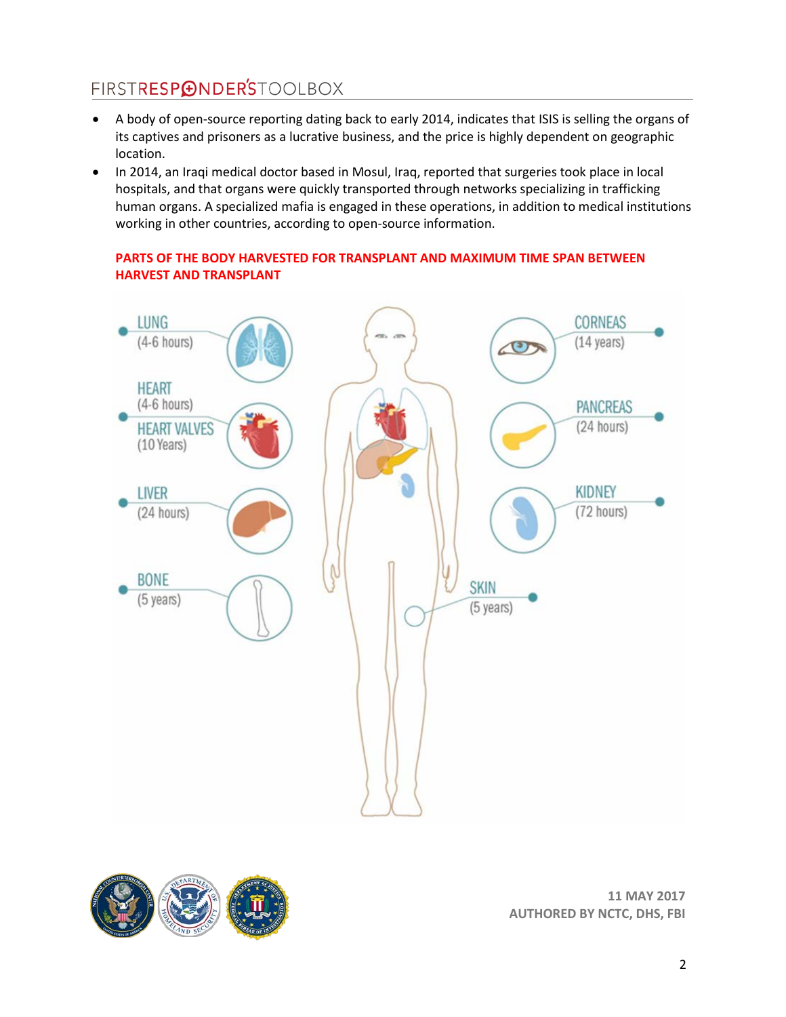- A body of open-source reporting dating back to early 2014, indicates that ISIS is selling the organs of its captives and prisoners as a lucrative business, and the price is highly dependent on geographic location.
- In 2014, an Iraqi medical doctor based in Mosul, Iraq, reported that surgeries took place in local hospitals, and that organs were quickly transported through networks specializing in trafficking human organs. A specialized mafia is engaged in these operations, in addition to medical institutions working in other countries, according to open-source information.

### **PARTS OF THE BODY HARVESTED FOR TRANSPLANT AND MAXIMUM TIME SPAN BETWEEN HARVEST AND TRANSPLANT**



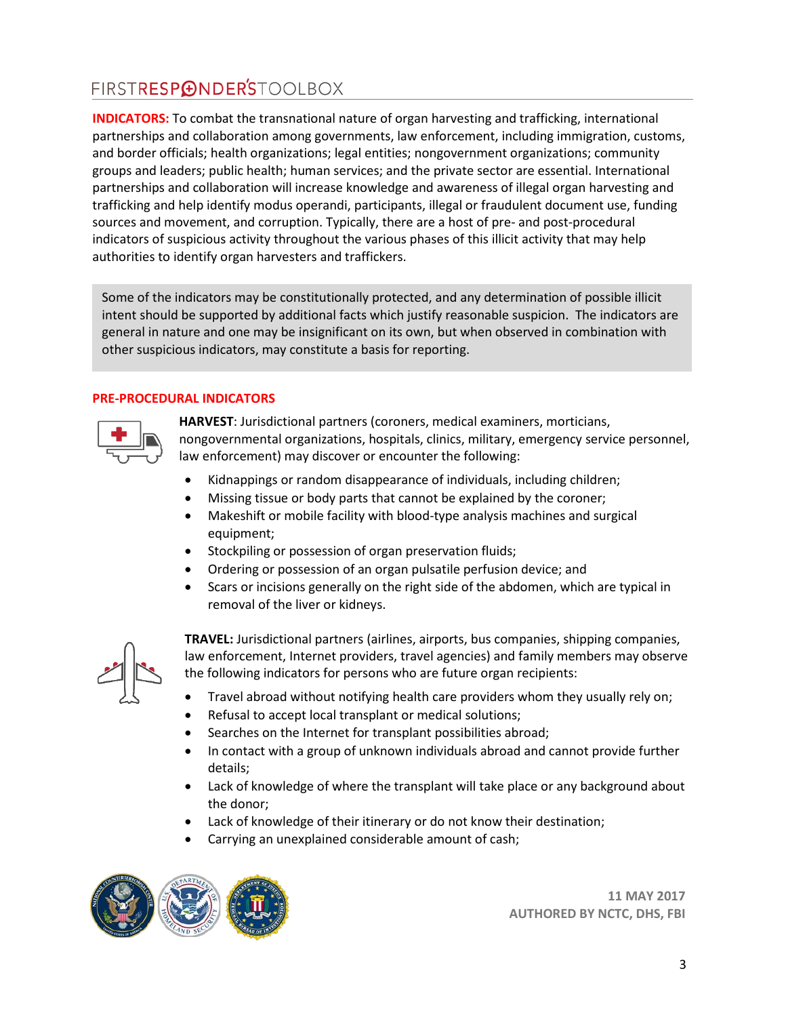**INDICATORS:** To combat the transnational nature of organ harvesting and trafficking, international partnerships and collaboration among governments, law enforcement, including immigration, customs, and border officials; health organizations; legal entities; nongovernment organizations; community groups and leaders; public health; human services; and the private sector are essential. International partnerships and collaboration will increase knowledge and awareness of illegal organ harvesting and trafficking and help identify modus operandi, participants, illegal or fraudulent document use, funding sources and movement, and corruption. Typically, there are a host of pre- and post-procedural indicators of suspicious activity throughout the various phases of this illicit activity that may help authorities to identify organ harvesters and traffickers.

Some of the indicators may be constitutionally protected, and any determination of possible illicit intent should be supported by additional facts which justify reasonable suspicion. The indicators are general in nature and one may be insignificant on its own, but when observed in combination with other suspicious indicators, may constitute a basis for reporting.

#### **PRE-PROCEDURAL INDICATORS**



**HARVEST**: Jurisdictional partners (coroners, medical examiners, morticians, nongovernmental organizations, hospitals, clinics, military, emergency service personnel, law enforcement) may discover or encounter the following:

- Kidnappings or random disappearance of individuals, including children;
- Missing tissue or body parts that cannot be explained by the coroner;
- Makeshift or mobile facility with blood-type analysis machines and surgical equipment;
- Stockpiling or possession of organ preservation fluids;
- Ordering or possession of an organ pulsatile perfusion device; and
- Scars or incisions generally on the right side of the abdomen, which are typical in removal of the liver or kidneys.



**TRAVEL:** Jurisdictional partners (airlines, airports, bus companies, shipping companies, law enforcement, Internet providers, travel agencies) and family members may observe the following indicators for persons who are future organ recipients:

- Travel abroad without notifying health care providers whom they usually rely on;
- Refusal to accept local transplant or medical solutions;
- Searches on the Internet for transplant possibilities abroad;
- In contact with a group of unknown individuals abroad and cannot provide further details;
- Lack of knowledge of where the transplant will take place or any background about the donor;
- Lack of knowledge of their itinerary or do not know their destination;
- Carrying an unexplained considerable amount of cash;

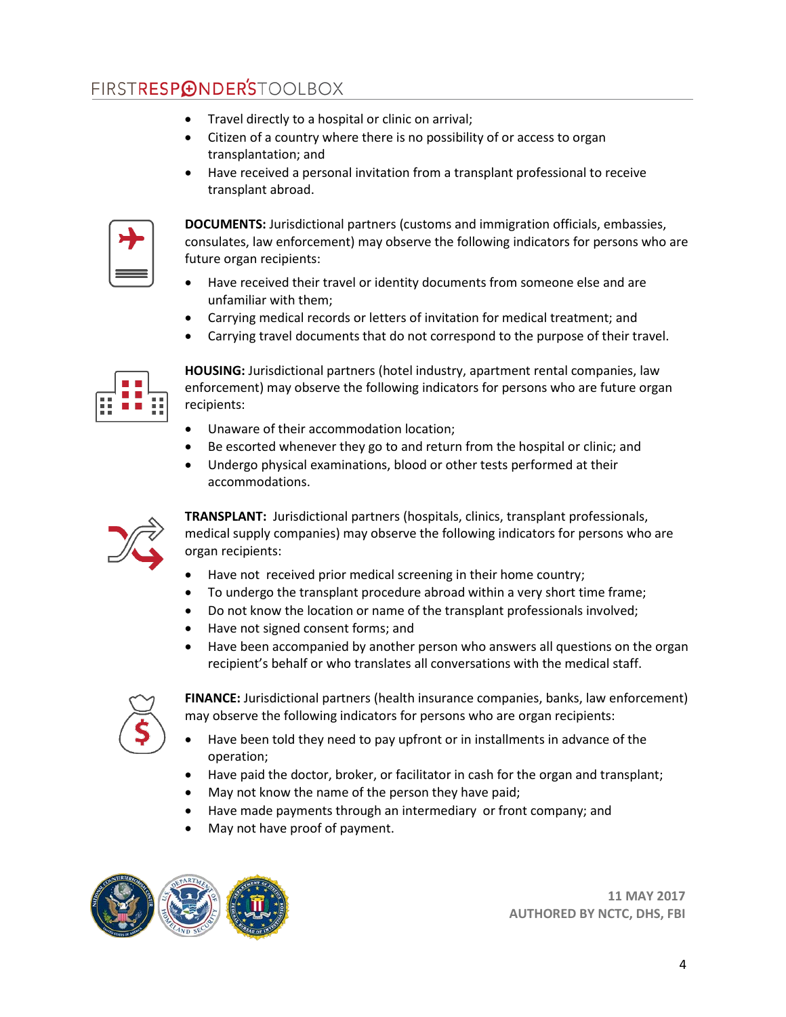- Travel directly to a hospital or clinic on arrival;
- Citizen of a country where there is no possibility of or access to organ transplantation; and
- Have received a personal invitation from a transplant professional to receive transplant abroad.



**DOCUMENTS:** Jurisdictional partners (customs and immigration officials, embassies, consulates, law enforcement) may observe the following indicators for persons who are future organ recipients:

- Have received their travel or identity documents from someone else and are unfamiliar with them;
- Carrying medical records or letters of invitation for medical treatment; and
- Carrying travel documents that do not correspond to the purpose of their travel.



**HOUSING:** Jurisdictional partners (hotel industry, apartment rental companies, law enforcement) may observe the following indicators for persons who are future organ recipients:

- Unaware of their accommodation location;
- Be escorted whenever they go to and return from the hospital or clinic; and
- Undergo physical examinations, blood or other tests performed at their accommodations.



**TRANSPLANT:** Jurisdictional partners (hospitals, clinics, transplant professionals, medical supply companies) may observe the following indicators for persons who are organ recipients:

- Have not received prior medical screening in their home country;
- To undergo the transplant procedure abroad within a very short time frame;
- Do not know the location or name of the transplant professionals involved;
- Have not signed consent forms; and
- Have been accompanied by another person who answers all questions on the organ recipient's behalf or who translates all conversations with the medical staff.



**FINANCE:** Jurisdictional partners (health insurance companies, banks, law enforcement) may observe the following indicators for persons who are organ recipients:

- Have been told they need to pay upfront or in installments in advance of the operation;
- Have paid the doctor, broker, or facilitator in cash for the organ and transplant;
- May not know the name of the person they have paid;
- Have made payments through an intermediary or front company; and
- May not have proof of payment.

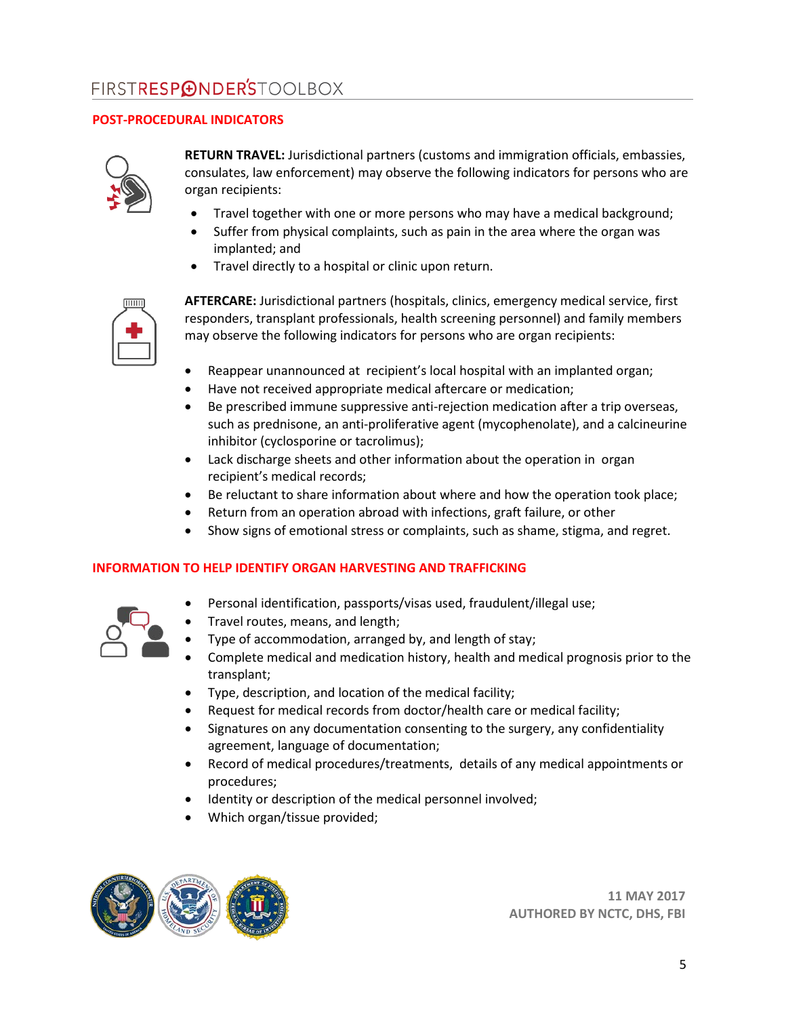### **POST-PROCEDURAL INDICATORS**



**RETURN TRAVEL:** Jurisdictional partners (customs and immigration officials, embassies, consulates, law enforcement) may observe the following indicators for persons who are organ recipients:

- Travel together with one or more persons who may have a medical background;
- Suffer from physical complaints, such as pain in the area where the organ was implanted; and
- Travel directly to a hospital or clinic upon return.



**AFTERCARE:** Jurisdictional partners (hospitals, clinics, emergency medical service, first responders, transplant professionals, health screening personnel) and family members may observe the following indicators for persons who are organ recipients:

- Reappear unannounced at recipient's local hospital with an implanted organ;
- Have not received appropriate medical aftercare or medication;
- Be prescribed immune suppressive anti-rejection medication after a trip overseas, such as prednisone, an anti-proliferative agent (mycophenolate), and a calcineurine inhibitor (cyclosporine or tacrolimus);
- Lack discharge sheets and other information about the operation in organ recipient's medical records;
- Be reluctant to share information about where and how the operation took place;
- Return from an operation abroad with infections, graft failure, or other
- Show signs of emotional stress or complaints, such as shame, stigma, and regret.

#### **INFORMATION TO HELP IDENTIFY ORGAN HARVESTING AND TRAFFICKING**



- Personal identification, passports/visas used, fraudulent/illegal use;
- Travel routes, means, and length;
- Type of accommodation, arranged by, and length of stay;
- Complete medical and medication history, health and medical prognosis prior to the transplant;
- Type, description, and location of the medical facility;
- Request for medical records from doctor/health care or medical facility;
- Signatures on any documentation consenting to the surgery, any confidentiality agreement, language of documentation;
- Record of medical procedures/treatments, details of any medical appointments or procedures;
- Identity or description of the medical personnel involved;
- Which organ/tissue provided;